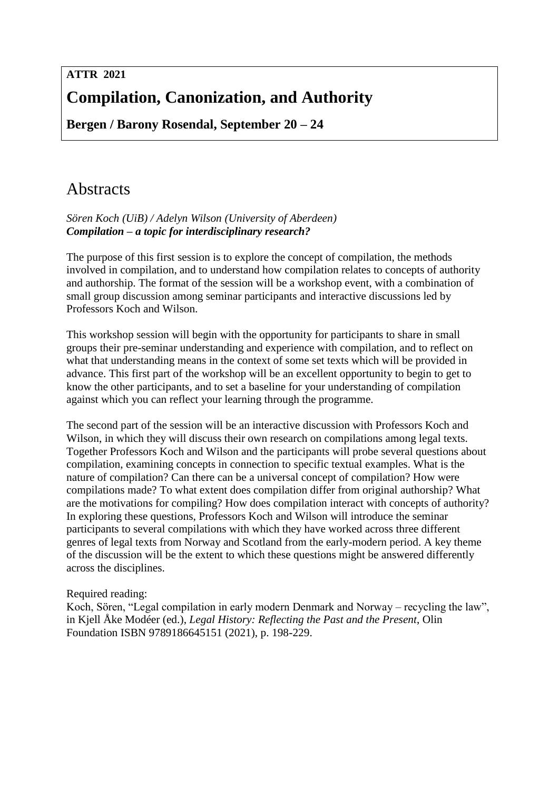# **ATTR 2021 Compilation, Canonization, and Authority**

**Bergen / Barony Rosendal, September 20 – 24**

# Abstracts

*Sören Koch (UiB) / Adelyn Wilson (University of Aberdeen) Compilation – a topic for interdisciplinary research?*

The purpose of this first session is to explore the concept of compilation, the methods involved in compilation, and to understand how compilation relates to concepts of authority and authorship. The format of the session will be a workshop event, with a combination of small group discussion among seminar participants and interactive discussions led by Professors Koch and Wilson.

This workshop session will begin with the opportunity for participants to share in small groups their pre-seminar understanding and experience with compilation, and to reflect on what that understanding means in the context of some set texts which will be provided in advance. This first part of the workshop will be an excellent opportunity to begin to get to know the other participants, and to set a baseline for your understanding of compilation against which you can reflect your learning through the programme.

The second part of the session will be an interactive discussion with Professors Koch and Wilson, in which they will discuss their own research on compilations among legal texts. Together Professors Koch and Wilson and the participants will probe several questions about compilation, examining concepts in connection to specific textual examples. What is the nature of compilation? Can there can be a universal concept of compilation? How were compilations made? To what extent does compilation differ from original authorship? What are the motivations for compiling? How does compilation interact with concepts of authority? In exploring these questions, Professors Koch and Wilson will introduce the seminar participants to several compilations with which they have worked across three different genres of legal texts from Norway and Scotland from the early-modern period. A key theme of the discussion will be the extent to which these questions might be answered differently across the disciplines.

# Required reading:

Koch, Sören, "Legal compilation in early modern Denmark and Norway – recycling the law", in Kjell Åke Modéer (ed.), *Legal History: Reflecting the Past and the Present*, Olin Foundation ISBN 9789186645151 (2021), p. 198-229.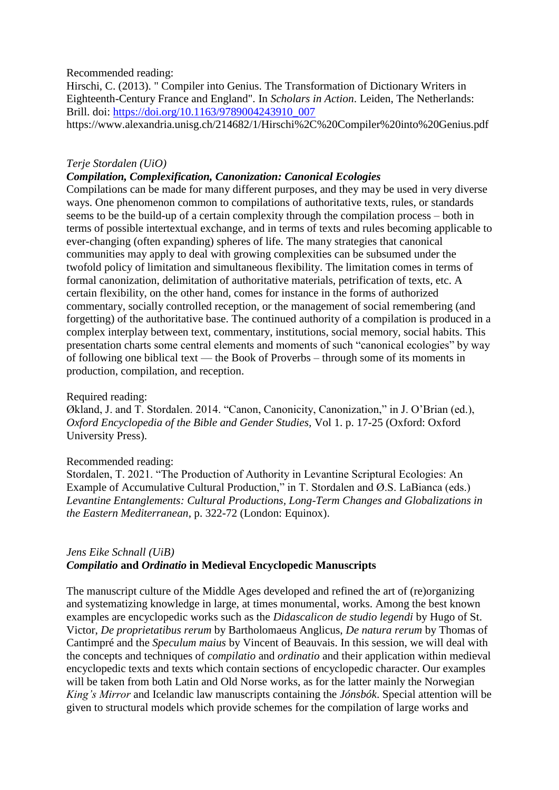### Recommended reading:

Hirschi, C. (2013). " Compiler into Genius. The Transformation of Dictionary Writers in Eighteenth-Century France and England". In *Scholars in Action*. Leiden, The Netherlands: Brill. doi: [https://doi.org/10.1163/9789004243910\\_007](https://doi.org/10.1163/9789004243910_007) https://www.alexandria.unisg.ch/214682/1/Hirschi%2C%20Compiler%20into%20Genius.pdf

### *Terje Stordalen (UiO)*

#### *Compilation, Complexification, Canonization: Canonical Ecologies*

Compilations can be made for many different purposes, and they may be used in very diverse ways. One phenomenon common to compilations of authoritative texts, rules, or standards seems to be the build-up of a certain complexity through the compilation process – both in terms of possible intertextual exchange, and in terms of texts and rules becoming applicable to ever-changing (often expanding) spheres of life. The many strategies that canonical communities may apply to deal with growing complexities can be subsumed under the twofold policy of limitation and simultaneous flexibility. The limitation comes in terms of formal canonization, delimitation of authoritative materials, petrification of texts, etc. A certain flexibility, on the other hand, comes for instance in the forms of authorized commentary, socially controlled reception, or the management of social remembering (and forgetting) of the authoritative base. The continued authority of a compilation is produced in a complex interplay between text, commentary, institutions, social memory, social habits. This presentation charts some central elements and moments of such "canonical ecologies" by way of following one biblical text — the Book of Proverbs – through some of its moments in production, compilation, and reception.

#### Required reading:

Økland, J. and T. Stordalen. 2014. "Canon, Canonicity, Canonization," in J. O'Brian (ed.), *Oxford Encyclopedia of the Bible and Gender Studies,* Vol 1. p. 17-25 (Oxford: Oxford University Press).

#### Recommended reading:

Stordalen, T. 2021. "The Production of Authority in Levantine Scriptural Ecologies: An Example of Accumulative Cultural Production," in T. Stordalen and Ø.S. LaBianca (eds.) *Levantine Entanglements: Cultural Productions, Long-Term Changes and Globalizations in the Eastern Mediterranean*, p. 322-72 (London: Equinox).

## *Jens Eike Schnall (UiB) Compilatio* **and** *Ordinatio* **in Medieval Encyclopedic Manuscripts**

The manuscript culture of the Middle Ages developed and refined the art of (re)organizing and systematizing knowledge in large, at times monumental, works. Among the best known examples are encyclopedic works such as the *Didascalicon de studio legendi* by Hugo of St. Victor, *De proprietatibus rerum* by Bartholomaeus Anglicus, *De natura rerum* by Thomas of Cantimpré and the *Speculum maius* by Vincent of Beauvais. In this session, we will deal with the concepts and techniques of *compilatio* and *ordinatio* and their application within medieval encyclopedic texts and texts which contain sections of encyclopedic character. Our examples will be taken from both Latin and Old Norse works, as for the latter mainly the Norwegian *King's Mirror* and Icelandic law manuscripts containing the *Jónsbók*. Special attention will be given to structural models which provide schemes for the compilation of large works and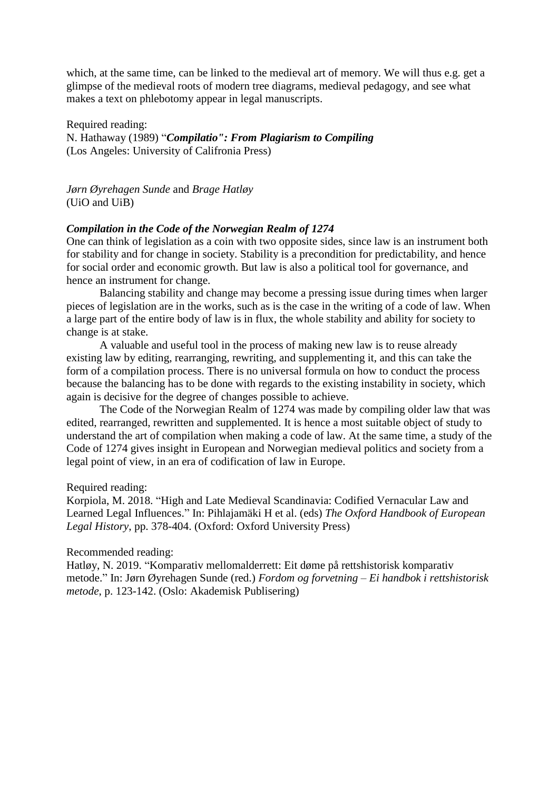which, at the same time, can be linked to the medieval art of memory. We will thus e.g. get a glimpse of the medieval roots of modern tree diagrams, medieval pedagogy, and see what makes a text on phlebotomy appear in legal manuscripts.

Required reading: N. Hathaway (1989) "*Compilatio": From Plagiarism to Compiling* (Los Angeles: University of Califronia Press)

*Jørn Øyrehagen Sunde* and *Brage Hatløy* (UiO and UiB)

## *Compilation in the Code of the Norwegian Realm of 1274*

One can think of legislation as a coin with two opposite sides, since law is an instrument both for stability and for change in society. Stability is a precondition for predictability, and hence for social order and economic growth. But law is also a political tool for governance, and hence an instrument for change.

Balancing stability and change may become a pressing issue during times when larger pieces of legislation are in the works, such as is the case in the writing of a code of law. When a large part of the entire body of law is in flux, the whole stability and ability for society to change is at stake.

A valuable and useful tool in the process of making new law is to reuse already existing law by editing, rearranging, rewriting, and supplementing it, and this can take the form of a compilation process. There is no universal formula on how to conduct the process because the balancing has to be done with regards to the existing instability in society, which again is decisive for the degree of changes possible to achieve.

The Code of the Norwegian Realm of 1274 was made by compiling older law that was edited, rearranged, rewritten and supplemented. It is hence a most suitable object of study to understand the art of compilation when making a code of law. At the same time, a study of the Code of 1274 gives insight in European and Norwegian medieval politics and society from a legal point of view, in an era of codification of law in Europe.

Required reading:

Korpiola, M. 2018. "High and Late Medieval Scandinavia: Codified Vernacular Law and Learned Legal Influences." In: Pihlajamäki H et al. (eds) *The Oxford Handbook of European Legal History*, pp. 378-404. (Oxford: Oxford University Press)

#### Recommended reading:

Hatløy, N. 2019. "Komparativ mellomalderrett: Eit døme på rettshistorisk komparativ metode." In: Jørn Øyrehagen Sunde (red.) *Fordom og forvetning – Ei handbok i rettshistorisk metode*, p. 123-142. (Oslo: Akademisk Publisering)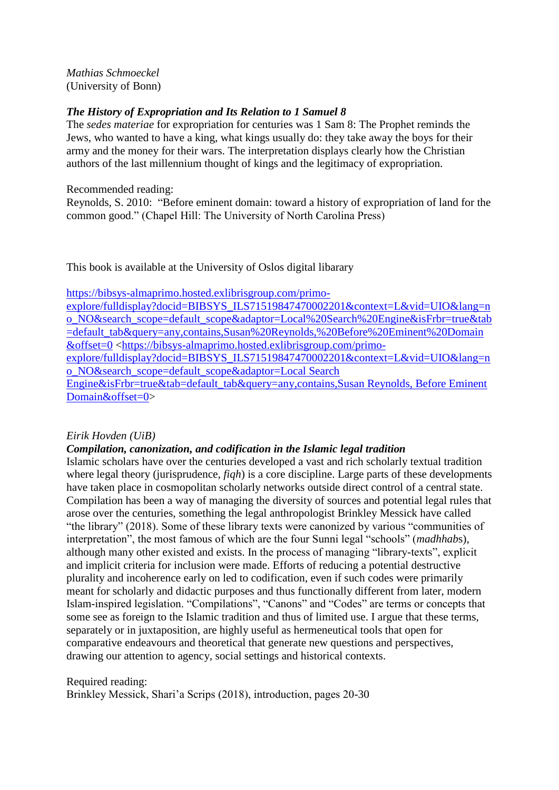*Mathias Schmoeckel* (University of Bonn)

## *The History of Expropriation and Its Relation to 1 Samuel 8*

The *sedes materiae* for expropriation for centuries was 1 Sam 8: The Prophet reminds the Jews, who wanted to have a king, what kings usually do: they take away the boys for their army and the money for their wars. The interpretation displays clearly how the Christian authors of the last millennium thought of kings and the legitimacy of expropriation.

Recommended reading:

Reynolds, S. 2010: "Before eminent domain: toward a history of expropriation of land for the common good." (Chapel Hill: The University of North Carolina Press)

This book is available at the University of Oslos digital libarary

[https://bibsys-almaprimo.hosted.exlibrisgroup.com/primo-](https://bibsys-almaprimo.hosted.exlibrisgroup.com/primo-explore/fulldisplay?docid=BIBSYS_ILS71519847470002201&context=L&vid=UIO&lang=no_NO&search_scope=default_scope&adaptor=Local%20Search%20Engine&isFrbr=true&tab=default_tab&query=any,contains,Susan%20Reynolds,%20Before%20Eminent%20Domain&offset=0)

[explore/fulldisplay?docid=BIBSYS\\_ILS71519847470002201&context=L&vid=UIO&lang=n](https://bibsys-almaprimo.hosted.exlibrisgroup.com/primo-explore/fulldisplay?docid=BIBSYS_ILS71519847470002201&context=L&vid=UIO&lang=no_NO&search_scope=default_scope&adaptor=Local%20Search%20Engine&isFrbr=true&tab=default_tab&query=any,contains,Susan%20Reynolds,%20Before%20Eminent%20Domain&offset=0) [o\\_NO&search\\_scope=default\\_scope&adaptor=Local%20Search%20Engine&isFrbr=true&tab](https://bibsys-almaprimo.hosted.exlibrisgroup.com/primo-explore/fulldisplay?docid=BIBSYS_ILS71519847470002201&context=L&vid=UIO&lang=no_NO&search_scope=default_scope&adaptor=Local%20Search%20Engine&isFrbr=true&tab=default_tab&query=any,contains,Susan%20Reynolds,%20Before%20Eminent%20Domain&offset=0) [=default\\_tab&query=any,contains,Susan%20Reynolds,%20Before%20Eminent%20Domain](https://bibsys-almaprimo.hosted.exlibrisgroup.com/primo-explore/fulldisplay?docid=BIBSYS_ILS71519847470002201&context=L&vid=UIO&lang=no_NO&search_scope=default_scope&adaptor=Local%20Search%20Engine&isFrbr=true&tab=default_tab&query=any,contains,Susan%20Reynolds,%20Before%20Eminent%20Domain&offset=0) [&offset=0](https://bibsys-almaprimo.hosted.exlibrisgroup.com/primo-explore/fulldisplay?docid=BIBSYS_ILS71519847470002201&context=L&vid=UIO&lang=no_NO&search_scope=default_scope&adaptor=Local%20Search%20Engine&isFrbr=true&tab=default_tab&query=any,contains,Susan%20Reynolds,%20Before%20Eminent%20Domain&offset=0) [<https://bibsys-almaprimo.hosted.exlibrisgroup.com/primo](https://bibsys-almaprimo.hosted.exlibrisgroup.com/primo-explore/fulldisplay?docid=BIBSYS_ILS71519847470002201&context=L&vid=UIO&lang=no_NO&search_scope=default_scope&adaptor=Local%20Search%20Engine&isFrbr=true&tab=default_tab&query=any,contains,Susan%20Reynolds,%20Before%20Eminent%20Domain&offset=0)[explore/fulldisplay?docid=BIBSYS\\_ILS71519847470002201&context=L&vid=UIO&lang=n](https://bibsys-almaprimo.hosted.exlibrisgroup.com/primo-explore/fulldisplay?docid=BIBSYS_ILS71519847470002201&context=L&vid=UIO&lang=no_NO&search_scope=default_scope&adaptor=Local%20Search%20Engine&isFrbr=true&tab=default_tab&query=any,contains,Susan%20Reynolds,%20Before%20Eminent%20Domain&offset=0) [o\\_NO&search\\_scope=default\\_scope&adaptor=Local Search](https://bibsys-almaprimo.hosted.exlibrisgroup.com/primo-explore/fulldisplay?docid=BIBSYS_ILS71519847470002201&context=L&vid=UIO&lang=no_NO&search_scope=default_scope&adaptor=Local%20Search%20Engine&isFrbr=true&tab=default_tab&query=any,contains,Susan%20Reynolds,%20Before%20Eminent%20Domain&offset=0)  [Engine&isFrbr=true&tab=default\\_tab&query=any,contains,Susan Reynolds, Before Eminent](https://bibsys-almaprimo.hosted.exlibrisgroup.com/primo-explore/fulldisplay?docid=BIBSYS_ILS71519847470002201&context=L&vid=UIO&lang=no_NO&search_scope=default_scope&adaptor=Local%20Search%20Engine&isFrbr=true&tab=default_tab&query=any,contains,Susan%20Reynolds,%20Before%20Eminent%20Domain&offset=0)  [Domain&offset=0>](https://bibsys-almaprimo.hosted.exlibrisgroup.com/primo-explore/fulldisplay?docid=BIBSYS_ILS71519847470002201&context=L&vid=UIO&lang=no_NO&search_scope=default_scope&adaptor=Local%20Search%20Engine&isFrbr=true&tab=default_tab&query=any,contains,Susan%20Reynolds,%20Before%20Eminent%20Domain&offset=0)

## *Eirik Hovden (UiB)*

## *Compilation, canonization, and codification in the Islamic legal tradition*

Islamic scholars have over the centuries developed a vast and rich scholarly textual tradition where legal theory (jurisprudence, *fiqh*) is a core discipline. Large parts of these developments have taken place in cosmopolitan scholarly networks outside direct control of a central state. Compilation has been a way of managing the diversity of sources and potential legal rules that arose over the centuries, something the legal anthropologist Brinkley Messick have called "the library" (2018). Some of these library texts were canonized by various "communities of interpretation", the most famous of which are the four Sunni legal "schools" (*madhhab*s), although many other existed and exists. In the process of managing "library-texts", explicit and implicit criteria for inclusion were made. Efforts of reducing a potential destructive plurality and incoherence early on led to codification, even if such codes were primarily meant for scholarly and didactic purposes and thus functionally different from later, modern Islam-inspired legislation. "Compilations", "Canons" and "Codes" are terms or concepts that some see as foreign to the Islamic tradition and thus of limited use. I argue that these terms, separately or in juxtaposition, are highly useful as hermeneutical tools that open for comparative endeavours and theoretical that generate new questions and perspectives, drawing our attention to agency, social settings and historical contexts.

Required reading: Brinkley Messick, Shari'a Scrips (2018), introduction, pages 20-30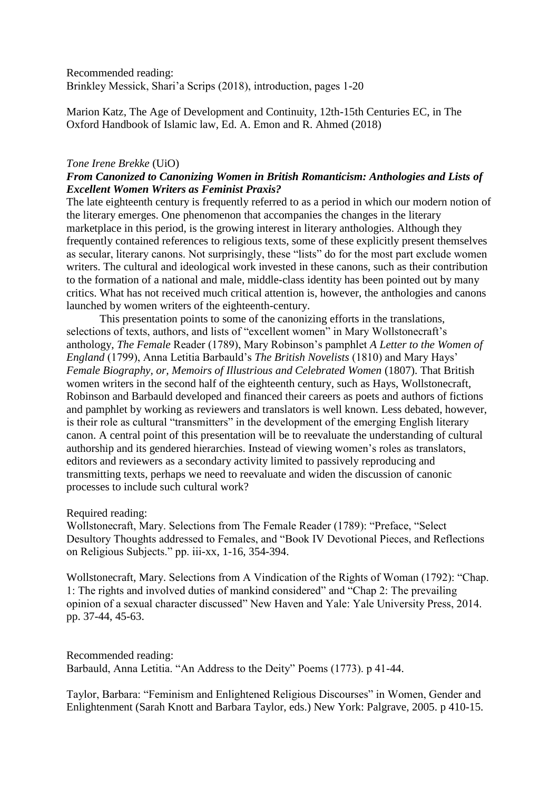Recommended reading: Brinkley Messick, Shari'a Scrips (2018), introduction, pages 1-20

Marion Katz, The Age of Development and Continuity, 12th-15th Centuries EC, in The Oxford Handbook of Islamic law, Ed. A. Emon and R. Ahmed (2018)

### *Tone Irene Brekke* (UiO)

# *From Canonized to Canonizing Women in British Romanticism: Anthologies and Lists of Excellent Women Writers as Feminist Praxis?*

The late eighteenth century is frequently referred to as a period in which our modern notion of the literary emerges. One phenomenon that accompanies the changes in the literary marketplace in this period, is the growing interest in literary anthologies. Although they frequently contained references to religious texts, some of these explicitly present themselves as secular, literary canons. Not surprisingly, these "lists" do for the most part exclude women writers. The cultural and ideological work invested in these canons, such as their contribution to the formation of a national and male, middle-class identity has been pointed out by many critics. What has not received much critical attention is, however, the anthologies and canons launched by women writers of the eighteenth-century.

This presentation points to some of the canonizing efforts in the translations, selections of texts, authors, and lists of "excellent women" in Mary Wollstonecraft's anthology, *The Female* Reader (1789), Mary Robinson's pamphlet *A Letter to the Women of England* (1799), Anna Letitia Barbauld's *The British Novelists* (1810) and Mary Hays' *Female Biography, or, Memoirs of Illustrious and Celebrated Women* (1807). That British women writers in the second half of the eighteenth century, such as Hays, Wollstonecraft, Robinson and Barbauld developed and financed their careers as poets and authors of fictions and pamphlet by working as reviewers and translators is well known. Less debated, however, is their role as cultural "transmitters" in the development of the emerging English literary canon. A central point of this presentation will be to reevaluate the understanding of cultural authorship and its gendered hierarchies. Instead of viewing women's roles as translators, editors and reviewers as a secondary activity limited to passively reproducing and transmitting texts, perhaps we need to reevaluate and widen the discussion of canonic processes to include such cultural work?

#### Required reading:

Wollstonecraft, Mary. Selections from The Female Reader (1789): "Preface, "Select Desultory Thoughts addressed to Females, and "Book IV Devotional Pieces, and Reflections on Religious Subjects." pp. iii-xx, 1-16, 354-394.

Wollstonecraft, Mary. Selections from A Vindication of the Rights of Woman (1792): "Chap. 1: The rights and involved duties of mankind considered" and "Chap 2: The prevailing opinion of a sexual character discussed" New Haven and Yale: Yale University Press, 2014. pp. 37-44, 45-63.

Recommended reading: Barbauld, Anna Letitia. "An Address to the Deity" Poems (1773). p 41-44.

Taylor, Barbara: "Feminism and Enlightened Religious Discourses" in Women, Gender and Enlightenment (Sarah Knott and Barbara Taylor, eds.) New York: Palgrave, 2005. p 410-15.